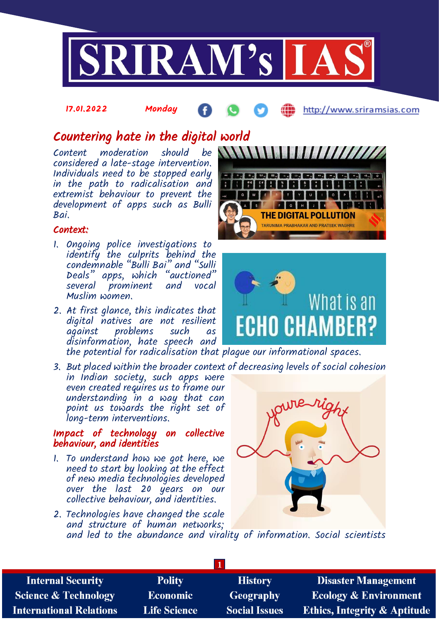

#### 17.01.2022 Monday Æ http://www.sriramsias.com

# Countering hate in the digital world

Content moderation should be considered a late-stage intervention. Individuals need to be stopped early in the path to radicalisation and extremist behaviour to prevent the development of apps such as Bulli Bai.

## Context:

- 1. Ongoing police investigations to identify the culprits behind the condemnable "Bulli Bai" and "Sulli Deals" apps, which "auctioned" several prominent and vocal Muslim women.
- 2. At first glance, this indicates that digital natives are not resilient against problems such as disinformation, hate speech and the potential for radicalisation that plague our informational spaces.
- 3. But placed within the broader context of decreasing levels of social cohesion in Indian society, such apps were even created requires us to frame our understanding in a way that can point us towards the right set of long-term interventions.

## Impact of technology on collective behaviour, and identities

- 1. To understand how we got here, we need to start by looking at the effect of new media technologies developed over the last 20 years on our collective behaviour, and identities.
- 2. Technologies have changed the scale and structure of human networks; and led to the abundance and virality of information. Social scientists







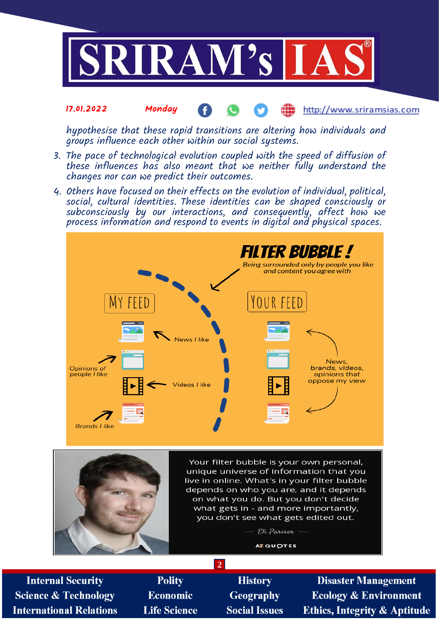

#### 17.01.2022 Monday http://www.sriramsias.com

hypothesise that these rapid transitions are altering how individuals and groups influence each other within our social systems.

- 3. The pace of technological evolution coupled with the speed of diffusion of these influences has also meant that we neither fully understand the changes nor can we predict their outcomes.
- 4. Others have focused on their effects on the evolution of individual, political, social, cultural identities. These identities can be shaped consciously or subconsciously by our interactions, and consequently, affect how we process information and respond to events in digital and physical spaces.





Your filter bubble is your own personal, unique universe of information that you live in online. What's in your filter bubble depends on who you are, and it depends on what you do. But you don't decide what gets in - and more importantly, you don't see what gets edited out.

> - Eli Pariser -**AZ QUOTES**

**Internal Security Science & Technology International Relations** 

**Polity Economic Life Science** 

**History Geography Social Issues** 

**2**

**Disaster Management Ecology & Environment Ethics, Integrity & Aptitude**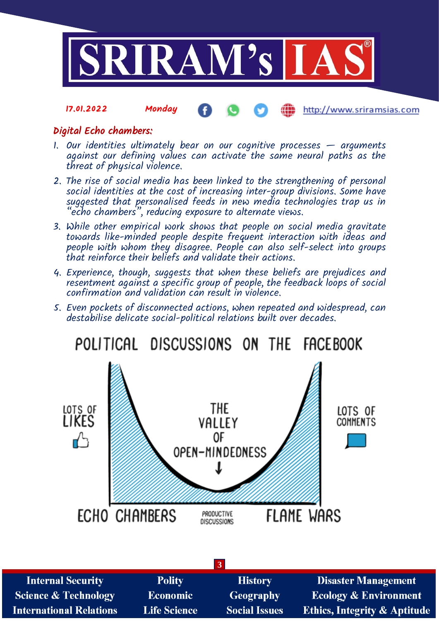

#### 17.01.2022 Monday http://www.sriramsias.com

## Digital Echo chambers:

- 1. Our identities ultimately bear on our cognitive processes arguments against our defining values can activate the same neural paths as the threat of physical violence.
- 2. The rise of social media has been linked to the strengthening of personal social identities at the cost of increasing inter-group divisions. Some have suggested that personalised feeds in new media technologies trap us in "echo chambers", reducing exposure to alternate views.
- 3. While other empirical work shows that people on social media gravitate towards like-minded people despite frequent interaction with ideas and people with whom they disagree. People can also self-select into groups that reinforce their beliefs and validate their actions.
- 4. Experience, though, suggests that when these beliefs are prejudices and resentment against a specific group of people, the feedback loops of social confirmation and validation can result in violence.
- 5. Even pockets of disconnected actions, when repeated and widespread, can destabilise delicate social-political relations built over decades.

LOTS OF<br>LIKES THE LOTS OF VALLEY **COMMENTS** 0F  $\mathsf{r}^{\mathsf{L}}$ OPEN-MINDEDNESS **ECHO CHAMBERS FLAME WARS** PRODUCTIVE **DISCUSSIONS** 

POLITICAL DISCUSSIONS ON THE **FACE BOOK** 

| $\vert 3 \vert$                 |                     |                      |                                         |  |  |
|---------------------------------|---------------------|----------------------|-----------------------------------------|--|--|
| <b>Internal Security</b>        | <b>Polity</b>       | <b>History</b>       | <b>Disaster Management</b>              |  |  |
| <b>Science &amp; Technology</b> | <b>Economic</b>     | Geography            | <b>Ecology &amp; Environment</b>        |  |  |
| <b>International Relations</b>  | <b>Life Science</b> | <b>Social Issues</b> | <b>Ethics, Integrity &amp; Aptitude</b> |  |  |
|                                 |                     |                      |                                         |  |  |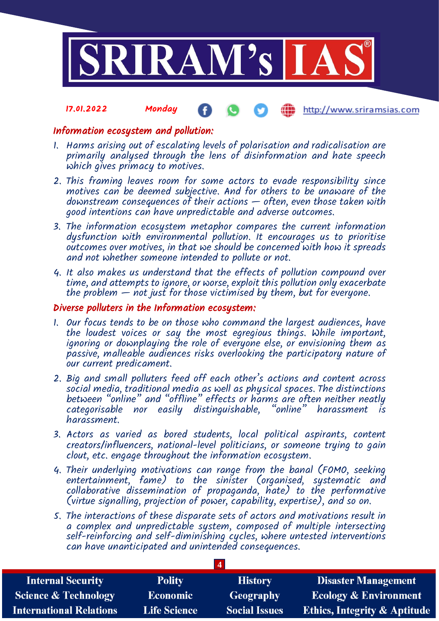

#### 17.01.2022 Monday http://www.sriramsias.com

## Information ecosystem and pollution:

- 1. Harms arising out of escalating levels of polarisation and radicalisation are primarily analysed through the lens of disinformation and hate speech which gives primacy to motives.
- 2. This framing leaves room for some actors to evade responsibility since motives can be deemed subjective. And for others to be unaware of the downstream consequences of their actions — often, even those taken with good intentions can have unpredictable and adverse outcomes.
- 3. The information ecosystem metaphor compares the current information dysfunction with environmental pollution. It encourages us to prioritise outcomes over motives, in that we should be concerned with how it spreads and not whether someone intended to pollute or not.
- 4. It also makes us understand that the effects of pollution compound over time, and attempts to ignore, or worse, exploit this pollution only exacerbate the problem  $-$  not just for those victimised by them, but for everyone.

## Diverse polluters in the Information ecosystem:

- 1. Our focus tends to be on those who command the largest audiences, have the loudest voices or say the most egregious things. While important, ignoring or downplaying the role of everyone else, or envisioning them as passive, malleable audiences risks overlooking the participatory nature of our current predicament.
- 2. Big and small polluters feed off each other's actions and content across social media, traditional media as well as physical spaces. The distinctions between "online" and "offline" effects or harms are often neither neatly categorisable nor easily distinguishable, "online" harassment is harassment.
- 3. Actors as varied as bored students, local political aspirants, content creators/influencers, national-level politicians, or someone trying to gain clout, etc. engage throughout the information ecosystem.
- 4. Their underlying motivations can range from the banal (FOMO, seeking entertainment, fame) to the sinister (organised, systematic and collaborative dissemination of propaganda, hate) to the performative (virtue signalling, projection of power, capability, expertise), and so on.
- 5. The interactions of these disparate sets of actors and motivations result in a complex and unpredictable system, composed of multiple intersecting self-reinforcing and self-diminishing cycles, where untested interventions can have unanticipated and unintended consequences.

| <b>Internal Security</b>        | <b>Polity</b>       | <b>History</b>       | <b>Disaster Management</b>              |  |  |
|---------------------------------|---------------------|----------------------|-----------------------------------------|--|--|
| <b>Science &amp; Technology</b> | <b>Economic</b>     | <b>Geography</b>     | <b>Ecology &amp; Environment</b>        |  |  |
| <b>International Relations</b>  | <b>Life Science</b> | <b>Social Issues</b> | <b>Ethics, Integrity &amp; Aptitude</b> |  |  |